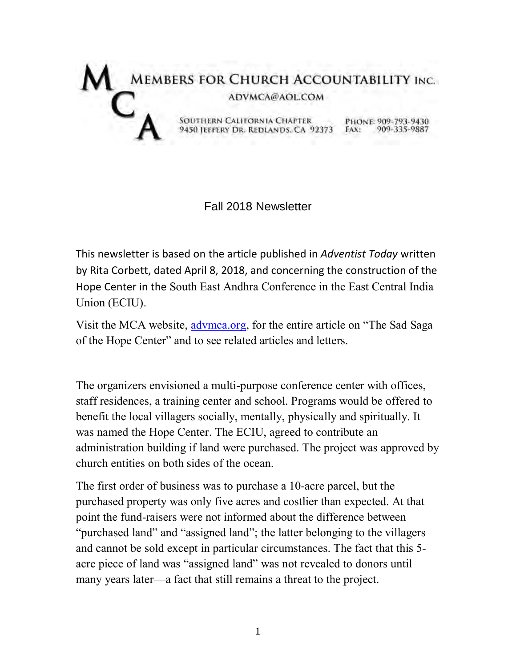

## Fall 2018 Newsletter

This newsletter is based on the article published in *Adventist Today* written by Rita Corbett, dated April 8, 2018, and concerning the construction of the Hope Center in the South East Andhra Conference in the East Central India Union (ECIU).

Visit the MCA website, [advmca.org,](http://advmca.org/) for the entire article on "The Sad Saga of the Hope Center" and to see related articles and letters.

The organizers envisioned a multi-purpose conference center with offices, staff residences, a training center and school. Programs would be offered to benefit the local villagers socially, mentally, physically and spiritually. It was named [the Hope Center.](https://www.google.ca/maps/@15.4118024,80.0310382,254m/data=!3m1!1e3?hl=en) The ECIU, agreed to contribute an administration building if land were purchased. The project was approved by church entities on both sides of the ocean.

The first order of business was to purchase a 10-acre parcel, but the purchased property was only five acres and costlier than expected. At that point the fund-raisers were not informed about the difference between "purchased land" and "assigned land"; the latter belonging to the villagers and cannot be sold except in particular circumstances. The fact that this 5 acre piece of land was "assigned land" was not revealed to donors until many years later—a fact that still remains a threat to the project.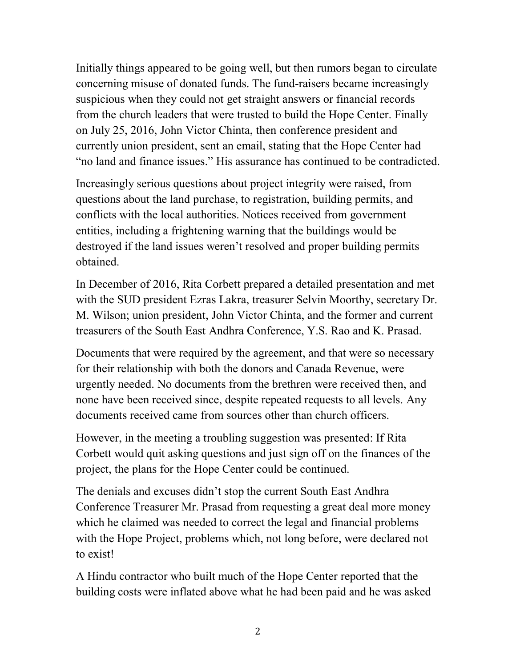Initially things appeared to be going well, but then rumors began to circulate concerning misuse of donated funds. The fund-raisers became increasingly suspicious when they could not get straight answers or financial records from the church leaders that were trusted to build the Hope Center. Finally on July 25, 2016, John Victor Chinta, then conference president and currently union president, sent an email, stating that the Hope Center had "no land and finance issues." His assurance has continued to be contradicted.

Increasingly serious questions about project integrity were raised, from questions about the land purchase, to registration, building permits, and conflicts with the local authorities. Notices received from government entities, including a frightening warning that the buildings would be destroyed if the land issues weren't resolved and proper building permits obtained.

In December of 2016, Rita Corbett prepared a detailed presentation and met with the SUD president Ezras Lakra, treasurer Selvin Moorthy, secretary Dr. M. Wilson; union president, John Victor Chinta, and the former and current treasurers of the South East Andhra Conference, Y.S. Rao and K. Prasad.

Documents that were required by the agreement, and that were so necessary for their relationship with both the donors and Canada Revenue, were urgently needed. No documents from the brethren were received then, and none have been received since, despite repeated requests to all levels. Any documents received came from sources other than church officers.

However, in the meeting a troubling suggestion was presented: If Rita Corbett would quit asking questions and just sign off on the finances of the project, the plans for the Hope Center could be continued.

The denials and excuses didn't stop the current South East Andhra Conference Treasurer Mr. Prasad from requesting a great deal more money which he claimed was needed to correct the legal and financial problems with the Hope Project, problems which, not long before, were declared not to exist!

A Hindu contractor who built much of the Hope Center reported that the building costs were inflated above what he had been paid and he was asked